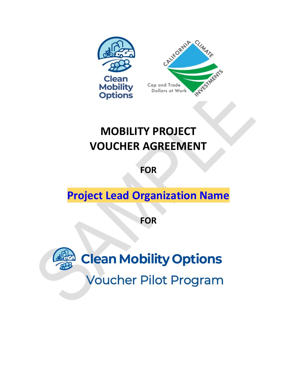

# **MOBILITY PROJECT VOUCHER AGREEMENT**

**FOR**

# **Project Lead Organization Name**

**FOR**

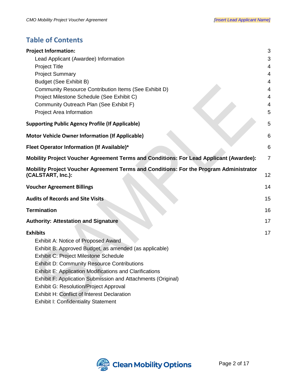# **Table of Contents**

| <b>Project Information:</b>                                                                                 | 3              |
|-------------------------------------------------------------------------------------------------------------|----------------|
| Lead Applicant (Awardee) Information                                                                        | 3              |
| <b>Project Title</b>                                                                                        | 4              |
| <b>Project Summary</b>                                                                                      | 4              |
| <b>Budget (See Exhibit B)</b>                                                                               | 4              |
| Community Resource Contribution Items (See Exhibit D)                                                       | 4              |
| Project Milestone Schedule (See Exhibit C)                                                                  | 4              |
| Community Outreach Plan (See Exhibit F)                                                                     | 4              |
| Project Area Information                                                                                    | 5              |
| <b>Supporting Public Agency Profile (If Applicable)</b>                                                     | 5              |
| <b>Motor Vehicle Owner Information (If Applicable)</b>                                                      | 6              |
| Fleet Operator Information (If Available)*                                                                  | 6              |
| Mobility Project Voucher Agreement Terms and Conditions: For Lead Applicant (Awardee):                      | $\overline{7}$ |
| Mobility Project Voucher Agreement Terms and Conditions: For the Program Administrator<br>(CALSTART, Inc.): | 12             |
| <b>Voucher Agreement Billings</b>                                                                           | 14             |
| <b>Audits of Records and Site Visits</b>                                                                    | 15             |
| <b>Termination</b>                                                                                          | 16             |
| <b>Authority: Attestation and Signature</b>                                                                 | 17             |
| <b>Exhibits</b>                                                                                             | 17             |
| Exhibit A: Notice of Proposed Award                                                                         |                |
| Exhibit B: Approved Budget, as amended (as applicable)                                                      |                |
| Exhibit C: Project Milestone Schedule                                                                       |                |
| <b>Exhibit D: Community Resource Contributions</b>                                                          |                |
| <b>Exhibit E: Application Modifications and Clarifications</b>                                              |                |
| Exhibit F: Application Submission and Attachments (Original)                                                |                |
| <b>Exhibit G: Resolution/Project Approval</b>                                                               |                |
| <b>Exhibit H: Conflict of Interest Declaration</b>                                                          |                |
| <b>Exhibit I: Confidentiality Statement</b>                                                                 |                |

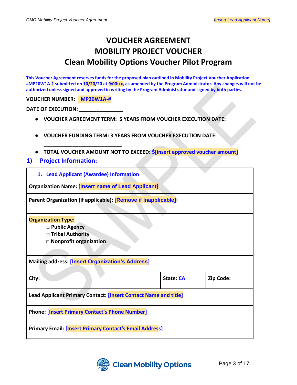# **VOUCHER AGREEMENT MOBILITY PROJECT VOUCHER Clean Mobility Options Voucher Pilot Program**

**This Voucher Agreement reserves funds for the proposed plan outlined in Mobility Project Voucher Application #MP20W1A-1 submitted on 10/20/20 at 9:00:xx, as amended by the Program Administrator. Any changes will not be authorized unless signed and approved in writing by the Program Administrator and signed by both parties.**

**VOUCHER NUMBER: MP20W1A-#** 

**DATE OF EXECUTION: \_\_\_** 

- **VOUCHER AGREEMENT TERM: 5 YEARS FROM VOUCHER EXECUTION DATE:**
- **VOUCHER FUNDING TERM: 3 YEARS FROM VOUCHER EXECUTION DATE:**
- **TOTAL VOUCHER AMOUNT NOT TO EXCEED: \$[insert approved voucher amount]**
- <span id="page-2-1"></span><span id="page-2-0"></span>**1) Project Information:** 
	- **1. Lead Applicant (Awardee) Information**

**\_\_\_\_\_\_\_\_\_\_\_\_\_\_\_\_\_\_\_\_\_\_\_\_\_\_\_** 

**\_\_\_\_\_\_\_\_\_\_\_\_\_\_\_\_\_\_\_\_\_\_\_\_\_\_\_**

**Organization Name: [Insert name of Lead Applicant]**

**Parent Organization (if applicable): [Remove if Inapplicable]**

**Organization Type:**

- □ **Public Agency**
- **□ Tribal Authority**
- **□ Nonprofit organization**

**Mailing address: [Insert Organization's Address]**

| City:                                                           | State: CA | Zip Code: |  |  |
|-----------------------------------------------------------------|-----------|-----------|--|--|
| Lead Applicant Primary Contact: [Insert Contact Name and title] |           |           |  |  |
| <b>Phone: [Insert Primary Contact's Phone Number]</b>           |           |           |  |  |
| <b>Primary Email: [Insert Primary Contact's Email Address]</b>  |           |           |  |  |

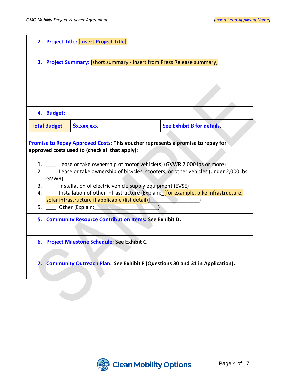<span id="page-3-2"></span><span id="page-3-1"></span><span id="page-3-0"></span>

| 2. Project Title: [Insert Project Title] |                                                                                                                                                                                                                                                     |                                                                                                                                                                                                                                                                                                                                                 |  |
|------------------------------------------|-----------------------------------------------------------------------------------------------------------------------------------------------------------------------------------------------------------------------------------------------------|-------------------------------------------------------------------------------------------------------------------------------------------------------------------------------------------------------------------------------------------------------------------------------------------------------------------------------------------------|--|
|                                          | 3. Project Summary: [short summary - Insert from Press Release summary]                                                                                                                                                                             |                                                                                                                                                                                                                                                                                                                                                 |  |
| 4. Budget:                               |                                                                                                                                                                                                                                                     |                                                                                                                                                                                                                                                                                                                                                 |  |
| <b>Total Budget</b>                      | $$x,$ xxx,xxx                                                                                                                                                                                                                                       | See Exhibit B for details.                                                                                                                                                                                                                                                                                                                      |  |
| GVWR)<br>3.<br>4.<br>5.                  | approved costs used to (check all that apply):<br>Installation of electric vehicle supply equipment (EVSE)<br>solar infrastructure if applicable (list detail)]<br>____ Other (Explain:<br>5. Community Resource Contribution Items: See Exhibit D. | Promise to Repay Approved Costs: This voucher represents a promise to repay for<br>1. ____ Lease or take ownership of motor vehicle(s) (GVWR 2,000 lbs or more)<br>2. __ Lease or take ownership of bicycles, scooters, or other vehicles (under 2,000 lbs<br>Installation of other infrastructure (Explain: [for example, bike infrastructure, |  |
|                                          | 6. Project Milestone Schedule: See Exhibit C.                                                                                                                                                                                                       |                                                                                                                                                                                                                                                                                                                                                 |  |
|                                          |                                                                                                                                                                                                                                                     | 7. Community Outreach Plan: See Exhibit F (Questions 30 and 31 in Application).                                                                                                                                                                                                                                                                 |  |

<span id="page-3-5"></span><span id="page-3-4"></span><span id="page-3-3"></span>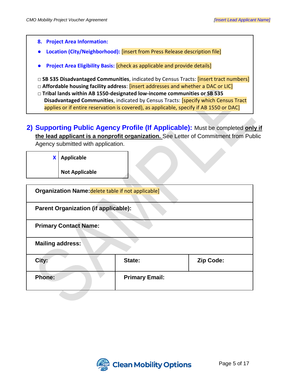<span id="page-4-0"></span>**8. Project Area Information:** ● **Location (City/Neighborhood):** [insert from Press Release description file] ● **Project Area Eligibility Basis:** [check as applicable and provide details] □ SB 535 Disadvantaged Communities, indicated by Census Tracts: *[insert tract numbers]* **□ Affordable housing facility address**: [insert addresses and whether a DAC or LIC] **□ Tribal lands within AB 1550-designated low-income communities or SB 535 Disadvantaged Communities**, indicated by Census Tracts: [specify which Census Tract applies or if entire reservation is covered), as applicable, specify if AB 1550 or DAC]

<span id="page-4-1"></span>**2) Supporting Public Agency Profile (If Applicable):** Must be completed **only if the lead applicant is a nonprofit organization.** See Letter of Commitment from Public Agency submitted with application.

| X                                                  | <b>Applicable</b><br><b>Not Applicable</b> |                       |           |
|----------------------------------------------------|--------------------------------------------|-----------------------|-----------|
| Organization Name: delete table if not applicable] |                                            |                       |           |
| <b>Parent Organization (if applicable):</b>        |                                            |                       |           |
| <b>Primary Contact Name:</b>                       |                                            |                       |           |
| <b>Mailing address:</b>                            |                                            |                       |           |
| City:                                              |                                            | State:                | Zip Code: |
| <b>Phone:</b>                                      |                                            | <b>Primary Email:</b> |           |

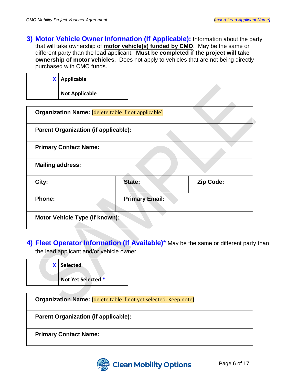<span id="page-5-0"></span>**3) Motor Vehicle Owner Information (If Applicable):** Information about the party that will take ownership of **motor vehicle(s) funded by CMO**. May be the same or different party than the lead applicant. **Must be completed if the project will take ownership of motor vehicles**. Does not apply to vehicles that are not being directly purchased with CMO funds.

| <b>X</b> Applicable |  |
|---------------------|--|
| Not Applicable      |  |

| <b>Parent Organization (if applicable):</b> |                       |           |
|---------------------------------------------|-----------------------|-----------|
| <b>Primary Contact Name:</b>                |                       |           |
| <b>Mailing address:</b>                     |                       |           |
| City:                                       | State:                | Zip Code: |
| Phone:                                      | <b>Primary Email:</b> |           |

<span id="page-5-1"></span>**4) Fleet Operator Information (If Available)**\* May be the same or different party than the lead applicant and/or vehicle owner.

| <b>X</b> Selected  |
|--------------------|
| Not Yet Selected * |

| Organization Name: [delete table if not yet selected. Keep note] |
|------------------------------------------------------------------|
| <b>Parent Organization (if applicable):</b>                      |
| <b>Primary Contact Name:</b>                                     |

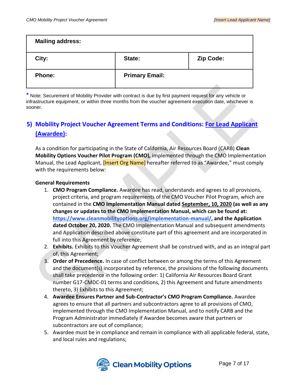| <b>Mailing address:</b> |                       |           |
|-------------------------|-----------------------|-----------|
| City:                   | State:                | Zip Code: |
| <b>Phone:</b>           | <b>Primary Email:</b> |           |

\* Note: Securement of Mobility Provider with contract is due by first payment request for any vehicle or infrastructure equipment, or within three months from the voucher agreement execution date, whichever is sooner.

# <span id="page-6-0"></span>**5) Mobility Project Voucher Agreement Terms and Conditions: For Lead Applicant (Awardee):**

As a condition for participating in the State of California, Air Resources Board (CARB) **Clean Mobility Options Voucher Pilot Program (CMO),** implemented through the CMO Implementation Manual, the Lead Applicant, *[Insert Org Name]* hereafter referred to as "Awardee," must comply with the requirements below:

#### **General Requirements**

- 1. **CMO Program Compliance.** Awardee has read, understands and agrees to all provisions, project criteria, and program requirements of the CMO Voucher Pilot Program, which are contained in the **CMO Implementation Manual dated September, 10, 2020 (as well as any changes or updates to the CMO Implementation Manual, which can be found at[:](https://www.cleanmobilityoptions.org/implementation-manual/) [https://www.cleanmobilityoptions.org/implementation-manual/,](https://www.cleanmobilityoptions.org/implementation-manual/) and the Application dated October 20, 2020.** The CMO Implementation Manual and subsequent amendments and Application described above constitute part of this agreement and are incorporated in full into this Agreement by reference;
- 2. **Exhibits.** Exhibits to this Voucher Agreement shall be construed with, and as an integral part of, this Agreement;
- 3. **Order of Precedence.** In case of conflict between or among the terms of this Agreement and the document(s) incorporated by reference, the provisions of the following documents shall take precedence in the following order: 1) California Air Resources Board Grant number G17-CMDC-01 terms and conditions, 2) this Agreement and future amendments thereto, 3) Exhibits to this Agreement;
- 4. **Awardee Ensures Partner and Sub-Contractor's CMO Program Compliance.** Awardee agrees to ensure that all partners and subcontractors agree to all provisions of CMO, implemented through the CMO Implementation Manual, and to notify CARB and the Program Administrator immediately if Awardee becomes aware that partners or subcontractors are out of compliance;
- 5. Awardee must be in compliance and remain in compliance with all applicable federal, state, and local rules and regulations;

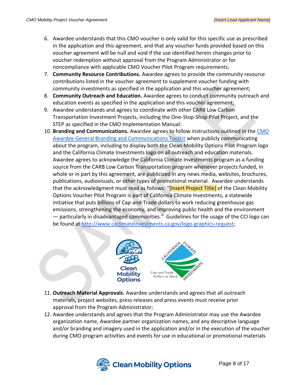- 6. Awardee understands that this CMO voucher is only valid for this specific use as prescribed in the application and this agreement, and that any voucher funds provided based on this voucher agreement will be null and void if the use identified herein changes prior to voucher redemption without approval from the Program Administrator or for noncompliance with applicable CMO Voucher Pilot Program requirements;
- 7. **Community Resource Contributions.** Awardee agrees to provide the community resource contributions listed in the voucher agreement to supplement voucher funding with community investments as specified in the application and this voucher agreement;
- 8. **Community Outreach and Education.** Awardee agrees to conduct community outreach and education events as specified in the application and this voucher agreement;
- 9. Awardee understands and agrees to coordinate with other CARB Low Carbon Transportation Investment Projects, including the One-Stop-Shop Pilot Project, and the STEP as specified in the CMO Implementation Manual;
- 10. **Branding and Communications.** Awardee agrees to follow instructions outlined in the [CMO](https://www.cleanmobilityoptions.org/wp-content/uploads/2021/03/CMO-Awardee-Comms-Toolkit-Final-2_19_21.pdf)  [Awardee General Branding and Communications Toolkit](https://www.cleanmobilityoptions.org/wp-content/uploads/2021/03/CMO-Awardee-Comms-Toolkit-Final-2_19_21.pdf) when publicly communicating about the program, including to display both the Clean Mobility Options Pilot Program logo and the California Climate Investments logo on all outreach and education materials. Awardee agrees to acknowledge the California Climate Investments program as a funding source from the CARB Low Carbon Transportation program whenever projects funded, in whole or in part by this agreement, are publicized in any news media, websites, brochures, publications, audiovisuals, or other types of promotional material. Awardee understands that the acknowledgment must read as follows: "[Insert Project Title] of the Clean Mobility Options Voucher Pilot Program is part of California Climate Investments, a statewide initiative that puts billions of Cap-and-Trade dollars to work reducing greenhouse gas emissions, strengthening the economy, and improving public health and the environment — particularly in disadvantaged communities." Guidelines for the usage of the CCI logo can be found a[t](http://www.caclimateinvestments.ca.gov/logo-graphics-request) [http://www.caclimateinvestments.ca.gov/logo-graphics-request;](http://www.caclimateinvestments.ca.gov/logo-graphics-request)



- 11. **Outreach Material Approvals.** Awardee understands and agrees that all outreach materials**,** project websites, press releases and press events must receive prior approval from the Program Administrator;
- 12. Awardee understands and agrees that the Program Administrator may use the Awardee organization name, Awardee partner organization names, and any descriptive language and/or branding and imagery used in the application and/or in the execution of the voucher during CMO program activities and events for use in educational or promotional materials

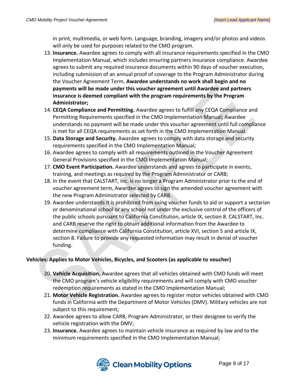in print, multimedia, or web form. Language, branding, imagery and/or photos and videos will only be used for purposes related to the CMO program.

- 13. **Insurance.** Awardee agrees to comply with all insurance requirements specified in the CMO Implementation Manual, which includes ensuring partners insurance compliance. Awardee agrees to submit any required insurance documents within 90 days of voucher execution, including submission of an annual proof of coverage to the Program Administrator during the Voucher Agreement Term. **Awardee understands no work shall begin and no payments will be made under this voucher agreement until Awardee and partners insurance is deemed compliant with the program requirements by the Program Administrator;**
- 14. **CEQA Compliance and Permitting.** Awardee agrees to fulfill any CEQA Compliance and Permitting Requirements specified in the CMO Implementation Manual; Awardee understands no payment will be made under this voucher agreement until full compliance is met for all CEQA requirements as set forth in the CMO Implementation Manual.
- 15. **Data Storage and Security.** Awardee agrees to comply with data storage and security requirements specified in the CMO Implementation Manual;
- 16. Awardee agrees to comply with all requirements outlined in the Voucher Agreement General Provisions specified in the CMO Implementation Manual;
- 17. **CMO Event Participation.** Awardee understands and agrees to participate in events, training, and meetings as required by the Program Administrator or CARB;
- 18. In the event that CALSTART, Inc. is no longer a Program Administrator prior to the end of voucher agreement term, Awardee agrees to sign the amended voucher agreement with the new Program Administrator selected by CARB.
- 19. Awardee understands it is prohibited from using voucher funds to aid or support a sectarian or denominational school or any school not under the exclusive control of the officers of the public schools pursuant to California Constitution, article IX, section 8. CALSTART, Inc. and CARB reserve the right to obtain additional information from the Awardee to determine compliance with California Constitution, article XVI, section 5 and article IX, section 8. Failure to provide any requested information may result in denial of voucher funding.

#### **Vehicles: Applies to Motor Vehicles, Bicycles, and Scooters (as applicable to voucher)**

- 20. **Vehicle Acquisition.** Awardee agrees that all vehicles obtained with CMO funds will meet the CMO program's vehicle eligibility requirements and will comply with CMO voucher redemption requirements as stated in the CMO Implementation Manual;
- 21. **Motor Vehicle Registration.** Awardee agrees to register motor vehicles obtained with CMO funds in California with the Department of Motor Vehicles (DMV). Military vehicles are not subject to this requirement;
- 22. Awardee agrees to allow CARB, Program Administrator, or their designee to verify the vehicle registration with the DMV;
- 23. **Insurance.** Awardee agrees to maintain vehicle insurance as required by law and to the minimum requirements specified in the CMO Implementation Manual;

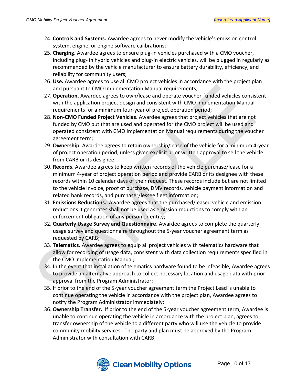- 24. **Controls and Systems.** Awardee agrees to never modify the vehicle's emission control system, engine, or engine software calibrations;
- 25. **Charging.** Awardee agrees to ensure plug-in vehicles purchased with a CMO voucher, including plug- in hybrid vehicles and plug-in electric vehicles, will be plugged in regularly as recommended by the vehicle manufacturer to ensure battery durability, efficiency, and reliability for community users;
- 26. **Use.** Awardee agrees to use all CMO project vehicles in accordance with the project plan and pursuant to CMO Implementation Manual requirements;
- 27. **Operation.** Awardee agrees to own/lease and operate voucher-funded vehicles consistent with the application project design and consistent with CMO Implementation Manual requirements for a minimum four-year of project operation period;
- 28. **Non-CMO Funded Project Vehicles**. Awardee agrees that project vehicles that are not funded by CMO but that are used and operated for the CMO project will be used and operated consistent with CMO Implementation Manual requirements during the voucher agreement term;
- 29. **Ownership.** Awardee agrees to retain ownership/lease of the vehicle for a minimum 4-year of project operation period, unless given explicit prior written approval to sell the vehicle from CARB or its designee;
- 30. **Records.** Awardee agrees to keep written records of the vehicle purchase/lease for a minimum 4-year of project operation period and provide CARB or its designee with these records within 10 calendar days of their request. These records include but are not limited to the vehicle invoice, proof of purchase, DMV records, vehicle payment information and related bank records, and purchaser/lessee fleet information;
- 31. **Emissions Reductions.** Awardee agrees that the purchased/leased vehicle and emission reductions it generates shall not be used as emission reductions to comply with an enforcement obligation of any person or entity;
- 32. **Quarterly Usage Survey and Questionnaire**. Awardee agrees to complete the quarterly usage survey and questionnaire throughout the 5-year voucher agreement term as requested by CARB;
- 33. **Telematics.** Awardee agrees to equip all project vehicles with telematics hardware that allow for recording of usage data, consistent with data collection requirements specified in the CMO Implementation Manual;
- 34. In the event that installation of telematics hardware found to be infeasible, Awardee agrees to provide an alternative approach to collect necessary location and usage data with prior approval from the Program Administrator;
- 35. If prior to the end of the 5-year voucher agreement term the Project Lead is unable to continue operating the vehicle in accordance with the project plan, Awardee agrees to notify the Program Administrator immediately;
- 36. **Ownership Transfer.** If prior to the end of the 5-year voucher agreement term, Awardee is unable to continue operating the vehicle in accordance with the project plan, agrees to transfer ownership of the vehicle to a different party who will use the vehicle to provide community mobility services. The party and plan must be approved by the Program Administrator with consultation with CARB;

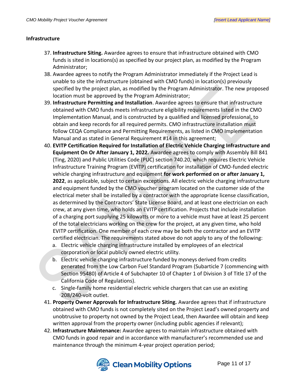#### **Infrastructure**

- 37. **Infrastructure Siting.** Awardee agrees to ensure that infrastructure obtained with CMO funds is sited in locations(s) as specified by our project plan, as modified by the Program Administrator;
- 38. Awardee agrees to notify the Program Administrator immediately if the Project Lead is unable to site the infrastructure (obtained with CMO funds) in location(s) previously specified by the project plan, as modified by the Program Administrator. The new proposed location must be approved by the Program Administrator;
- 39. **Infrastructure Permitting and Installation**. Awardee agrees to ensure that infrastructure obtained with CMO funds meets infrastructure eligibility requirements listed in the CMO Implementation Manual, and is constructed by a qualified and licensed professional, to obtain and keep records for all required permits. CMO infrastructure installation must follow CEQA Compliance and Permitting Requirements, as listed in CMO Implementation Manual and as stated in General Requirement #14 in this agreement;
- 40. **EVITP Certification Required for Installation of Electric Vehicle Charging Infrastructure and Equipment On Or After January 1, 2022.** Awardee agrees to comply with Assembly Bill 841 (Ting, 2020) and Public Utilities Code (PUC) section 740.20, which requires Electric Vehicle Infrastructure Training Program (EVITP) certification for installation of CMO-funded electric vehicle charging infrastructure and equipment **for work performed on or after January 1, 2022**, as applicable, subject to certain exceptions. All electric vehicle charging infrastructure and equipment funded by the CMO voucher program located on the customer side of the electrical meter shall be installed by a contractor with the appropriate license classification, as determined by the Contractors' State License Board, and at least one electrician on each crew, at any given time, who holds an EVITP certification. Projects that include installation of a charging port supplying 25 kilowatts or more to a vehicle must have at least 25 percent of the total electricians working on the crew for the project, at any given time, who hold EVITP certification. One member of each crew may be both the contractor and an EVITP certified electrician. The requirements stated above do not apply to any of the following:
	- a. Electric vehicle charging infrastructure installed by employees of an electrical corporation or local publicly owned electric utility.
	- b. Electric vehicle charging infrastructure funded by moneys derived from credits generated from the Low Carbon Fuel Standard Program (Subarticle 7 (commencing with Section 95480) of Article 4 of Subchapter 10 of Chapter 1 of Division 3 of Title 17 of the California Code of Regulations).
	- c. Single-family home residential electric vehicle chargers that can use an existing 208/240-volt outlet.
- 41. **Property Owner Approvals for Infrastructure Siting.** Awardee agrees that if infrastructure obtained with CMO funds is not completely sited on the Project Lead's owned property and unobtrusive to property not owned by the Project Lead, then Awardee will obtain and keep written approval from the property owner (including public agencies if relevant);
- 42. **Infrastructure Maintenance:** Awardee agrees to maintain infrastructure obtained with CMO funds in good repair and in accordance with manufacturer's recommended use and maintenance through the minimum 4-year project operation period;

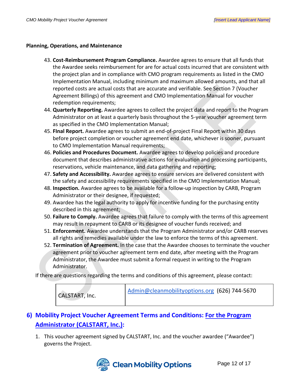#### **Planning, Operations, and Maintenance**

- 43. **Cost-Reimbursement Program Compliance.** Awardee agrees to ensure that all funds that the Awardee seeks reimbursement for are for actual costs incurred that are consistent with the project plan and in compliance with CMO program requirements as listed in the CMO Implementation Manual, including minimum and maximum allowed amounts, and that all reported costs are actual costs that are accurate and verifiable. See Section 7 (Voucher Agreement Billings) of this agreement and CMO Implementation Manual for voucher redemption requirements;
- 44. **Quarterly Reporting.** Awardee agrees to collect the project data and report to the Program Administrator on at least a quarterly basis throughout the 5-year voucher agreement term as specified in the CMO Implementation Manual;
- 45. **FInal Report.** Awardee agrees to submit an end-of-project Final Report within 30 days before project completion or voucher agreement end date, whichever is sooner, pursuant to CMO Implementation Manual requirements;
- 46. **Policies and Procedures Document.** Awardee agrees to develop policies and procedure document that describes administrative actions for evaluation and processing participants, reservations, vehicle maintenance, and data gathering and reporting;
- 47. **Safety and Accessibility.** Awardee agrees to ensure services are delivered consistent with the safety and accessibility requirements specified in the CMO Implementation Manual;
- 48. **Inspection.** Awardee agrees to be available for a follow-up inspection by CARB, Program Administrator or their designee, if requested;
- 49. Awardee has the legal authority to apply for incentive funding for the purchasing entity described in this agreement;
- 50. **Failure to Comply.** Awardee agrees that failure to comply with the terms of this agreement may result in repayment to CARB or its designee of voucher funds received; and
- 51. **Enforcement.** Awardee understands that the Program Administrator and/or CARB reserves all rights and remedies available under the law to enforce the terms of this agreement.
- 52. **Termination of Agreement.** In the case that the Awardee chooses to terminate the voucher agreement prior to voucher agreement term end date, after meeting with the Program Administrator, the Awardee must submit a formal request in writing to the Program Administrator.

If there are questions regarding the terms and conditions of this agreement, please contact:

| CALSTART, Inc. | Admin@cleanmobilityoptions.org (626) 744-5670 |
|----------------|-----------------------------------------------|
|----------------|-----------------------------------------------|

# <span id="page-11-0"></span>**6) Mobility Project Voucher Agreement Terms and Conditions: For the Program Administrator (CALSTART, Inc.):**

1. This voucher agreement signed by CALSTART, Inc. and the voucher awardee ("Awardee") governs the Project.

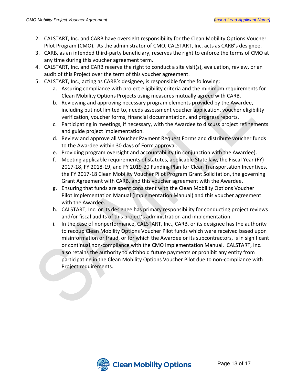- 2. CALSTART, Inc. and CARB have oversight responsibility for the Clean Mobility Options Voucher Pilot Program (CMO). As the administrator of CMO, CALSTART, Inc. acts as CARB's designee.
- 3. CARB, as an intended third-party beneficiary, reserves the right to enforce the terms of CMO at any time during this voucher agreement term.
- 4. CALSTART, Inc. and CARB reserve the right to conduct a site visit(s), evaluation, review, or an audit of this Project over the term of this voucher agreement.
- 5. CALSTART, Inc., acting as CARB's designee, is responsible for the following:
	- a. Assuring compliance with project eligibility criteria and the minimum requirements for Clean Mobility Options Projects using measures mutually agreed with CARB.
	- b. Reviewing and approving necessary program elements provided by the Awardee, including but not limited to, needs assessment voucher application, voucher eligibility verification, voucher forms, financial documentation, and progress reports.
	- c. Participating in meetings, if necessary, with the Awardee to discuss project refinements and guide project implementation.
	- d. Review and approve all Voucher Payment Request Forms and distribute voucher funds to the Awardee within 30 days of Form approval.
	- e. Providing program oversight and accountability (in conjunction with the Awardee).
	- f. Meeting applicable requirements of statutes, applicable State law, the Fiscal Year (FY) 2017-18, FY 2018-19, and FY 2019-20 Funding Plan for Clean Transportation Incentives, the FY 2017-18 Clean Mobility Voucher Pilot Program Grant Solicitation, the governing Grant Agreement with CARB, and this voucher agreement with the Awardee.
	- g. Ensuring that funds are spent consistent with the Clean Mobility Options Voucher Pilot Implementation Manual (Implementation Manual) and this voucher agreement with the Awardee.
	- h. CALSTART, Inc. or its designee has primary responsibility for conducting project reviews and/or fiscal audits of this project's administration and implementation.
	- i. In the case of nonperformance, CALSTART, Inc., CARB, or its designee has the authority to recoup Clean Mobility Options Voucher Pilot funds which were received based upon misinformation or fraud, or for which the Awardee or its subcontractors, is in significant or continual non-compliance with the CMO Implementation Manual. CALSTART, Inc. also retains the authority to withhold future payments or prohibit any entity from participating in the Clean Mobility Options Voucher Pilot due to non-compliance with Project requirements.

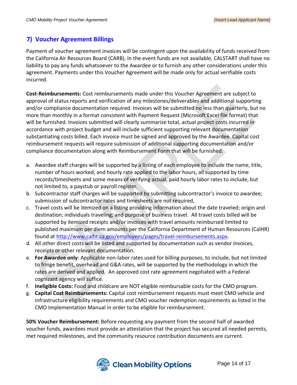## <span id="page-13-0"></span>**7) Voucher Agreement Billings**

Payment of voucher agreement invoices will be contingent upon the availability of funds received from the California Air Resources Board (CARB). In the event funds are not available, CALSTART shall have no liability to pay any funds whatsoever to the Awardee or to furnish any other considerations under this agreement. Payments under this Voucher Agreement will be made only for actual verifiable costs incurred.

**Cost-Reimbursements:** Cost reimbursements made under this Voucher Agreement are subject to approval of status reports and verification of any milestones/deliverables and additional supporting and/or compliance documentation required. Invoices will be submitted no less than quarterly, but no more than monthly in a format consistent with Payment Request (Microsoft Excel file format) that will be furnished. Invoices submitted will clearly summarize total, actual project costs incurred in accordance with project budget and will include sufficient supporting relevant documentation substantiating costs billed. Each invoice must be signed and approved by the Awardee. Capital cost reimbursement requests will require submission of additional supporting documentation and/or compliance documentation along with Reimbursement Form that will be furnished.

- a. Awardee staff charges will be supported by a listing of each employee to include the name, title, number of hours worked, and hourly rate applied to the labor hours, all supported by time records/timesheets and some means of verifying actual, paid hourly labor rates to include, but not limited to, a paystub or payroll register.
- b. Subcontractor staff charges will be supported by submitting subcontractor's invoice to awardee; submission of subcontractor rates and timesheets are not required,
- c. Travel costs will be itemized on a listing providing information about the date traveled; origin and destination; individuals traveling; and purpose of business travel. All travel costs billed will be supported by itemized receipts and/or invoices with travel amounts reimbursed limited to published maximum per diem amounts per the California Department of Human Resources (CalHR) found at [http://www.calhr.ca.gov/employees/pages/travel-reimbursements.aspx.](http://www.calhr.ca.gov/employees/pages/travel-reimbursements.aspx)
- d. All other direct costs will be listed and supported by documentation such as vendor invoices, receipts or other relevant documentation.
- e. **For Awardee only**: Applicable non-labor rates used for billing purposes, to include, but not limited to fringe benefit, overhead and G&A rates, will be supported by the methodology in which the rates are derived and applied. An approved cost rate agreement negotiated with a Federal cognizant agency will suffice.
- f. **Ineligible Costs:** Food and childcare are NOT eligible reimbursable costs for the CMO program.
- g. **Capital Cost Reimbursements:** Capital cost reimbursement requests must meet CMO vehicle and infrastructure eligibility requirements and CMO voucher redemption requirements as listed in the CMO Implementation Manual in order to be eligible for reimbursement.

**50% Voucher Reimbursement:** Before requesting any payment from the second half of awarded voucher funds, awardees must provide an attestation that the project has secured all needed permits, met required milestones, and the community resource contribution documents are current.

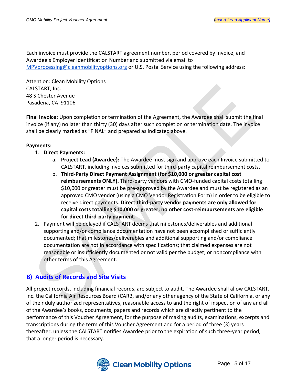Each invoice must provide the CALSTART agreement number, period covered by invoice, and Awardee's Employer Identification Number and submitted via email to [MPVprocessing@cleanmobilityoptions.org](mailto:MPVprocessing@cleanmobilityoptions.org) or U.S. Postal Service using the following address:

Attention: Clean Mobility Options CALSTART, Inc. 48 S Chester Avenue Pasadena, CA 91106

**Final Invoice:** Upon completion or termination of the Agreement, the Awardee shall submit the final invoice (if any) no later than thirty (30) days after such completion or termination date. The invoice shall be clearly marked as "FINAL" and prepared as indicated above.

#### **Payments:**

- 1. **Direct Payments:**
	- a. **Project Lead (Awardee):** The Awardee must sign and approve each Invoice submitted to CALSTART, including invoices submitted for third-party capital reimbursement costs.
	- b. **Third-Party Direct Payment Assignment (for \$10,000 or greater capital cost reimbursements ONLY).** Third-party vendors with CMO-funded capital costs totalling \$10,000 or greater must be pre-approved by the Awardee and must be registered as an approved CMO vendor (using a CMO Vendor Registration Form) in order to be eligible to receive direct payments. **Direct third-party vendor payments are only allowed for capital costs totalling \$10,000 or greater; no other cost-reimbursements are eligible for direct third-party payment.**
- 2. Payment will be delayed if CALSTART deems that milestones/deliverables and additional supporting and/or compliance documentation have not been accomplished or sufficiently documented; that milestones/deliverables and additional supporting and/or compliance documentation are not in accordance with specifications; that claimed expenses are not reasonable or insufficiently documented or not valid per the budget; or noncompliance with other terms of this Agreement.

# <span id="page-14-0"></span>**8) Audits of Records and Site Visits**

All project records, including financial records, are subject to audit. The Awardee shall allow CALSTART, Inc. the California Air Resources Board (CARB, and/or any other agency of the State of California, or any of their duly authorized representatives, reasonable access to and the right of inspection of any and all of the Awardee's books, documents, papers and records which are directly pertinent to the performance of this Voucher Agreement, for the purpose of making audits, examinations, excerpts and transcriptions during the term of this Voucher Agreement and for a period of three (3) years thereafter, unless the CALSTART notifies Awardee prior to the expiration of such three-year period, that a longer period is necessary.

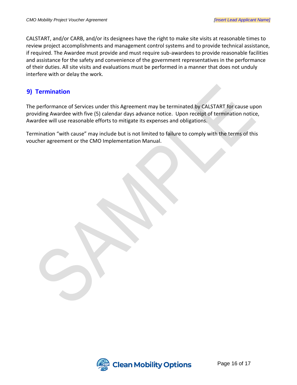CALSTART, and/or CARB, and/or its designees have the right to make site visits at reasonable times to review project accomplishments and management control systems and to provide technical assistance, if required. The Awardee must provide and must require sub-awardees to provide reasonable facilities and assistance for the safety and convenience of the government representatives in the performance of their duties. All site visits and evaluations must be performed in a manner that does not unduly interfere with or delay the work.

## <span id="page-15-0"></span>**9) Termination**

The performance of Services under this Agreement may be terminated by CALSTART for cause upon providing Awardee with five (5) calendar days advance notice. Upon receipt of termination notice, Awardee will use reasonable efforts to mitigate its expenses and obligations.

Termination "with cause" may include but is not limited to failure to comply with the terms of this voucher agreement or the CMO Implementation Manual.